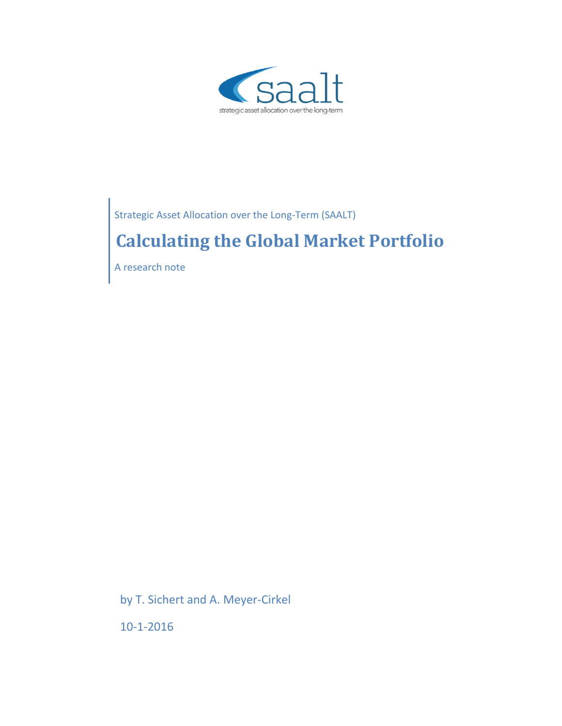

Strategic Asset Allocation over the Long-Term (SAALT)

# **Calculating the Global Market Portfolio**

A research note

by T. Sichert and A. Meyer-Cirkel

10-1-2016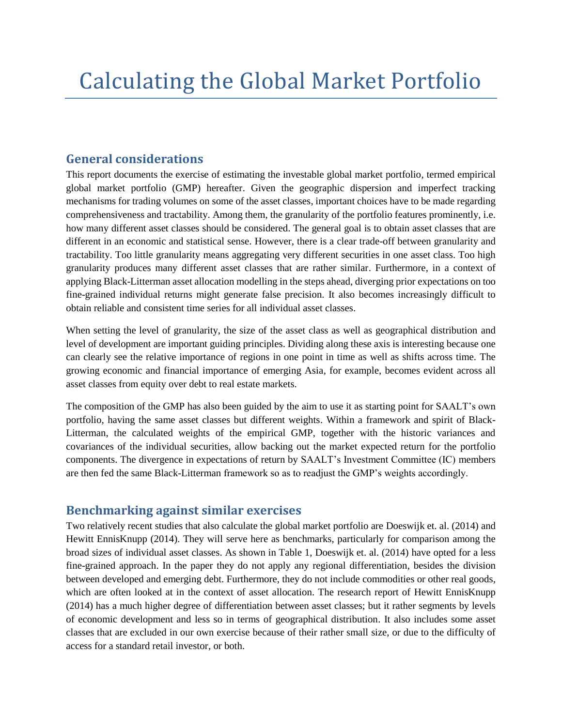## **General considerations**

This report documents the exercise of estimating the investable global market portfolio, termed empirical global market portfolio (GMP) hereafter. Given the geographic dispersion and imperfect tracking mechanisms for trading volumes on some of the asset classes, important choices have to be made regarding comprehensiveness and tractability. Among them, the granularity of the portfolio features prominently, i.e. how many different asset classes should be considered. The general goal is to obtain asset classes that are different in an economic and statistical sense. However, there is a clear trade-off between granularity and tractability. Too little granularity means aggregating very different securities in one asset class. Too high granularity produces many different asset classes that are rather similar. Furthermore, in a context of applying Black-Litterman asset allocation modelling in the steps ahead, diverging prior expectations on too fine-grained individual returns might generate false precision. It also becomes increasingly difficult to obtain reliable and consistent time series for all individual asset classes.

When setting the level of granularity, the size of the asset class as well as geographical distribution and level of development are important guiding principles. Dividing along these axis is interesting because one can clearly see the relative importance of regions in one point in time as well as shifts across time. The growing economic and financial importance of emerging Asia, for example, becomes evident across all asset classes from equity over debt to real estate markets.

The composition of the GMP has also been guided by the aim to use it as starting point for SAALT's own portfolio, having the same asset classes but different weights. Within a framework and spirit of Black-Litterman, the calculated weights of the empirical GMP, together with the historic variances and covariances of the individual securities, allow backing out the market expected return for the portfolio components. The divergence in expectations of return by SAALT's Investment Committee (IC) members are then fed the same Black-Litterman framework so as to readjust the GMP's weights accordingly.

## **Benchmarking against similar exercises**

Two relatively recent studies that also calculate the global market portfolio are Doeswijk et. al. (2014) and Hewitt EnnisKnupp (2014). They will serve here as benchmarks, particularly for comparison among the broad sizes of individual asset classes. As shown in Table 1, Doeswijk et. al. (2014) have opted for a less fine-grained approach. In the paper they do not apply any regional differentiation, besides the division between developed and emerging debt. Furthermore, they do not include commodities or other real goods, which are often looked at in the context of asset allocation. The research report of Hewitt EnnisKnupp (2014) has a much higher degree of differentiation between asset classes; but it rather segments by levels of economic development and less so in terms of geographical distribution. It also includes some asset classes that are excluded in our own exercise because of their rather small size, or due to the difficulty of access for a standard retail investor, or both.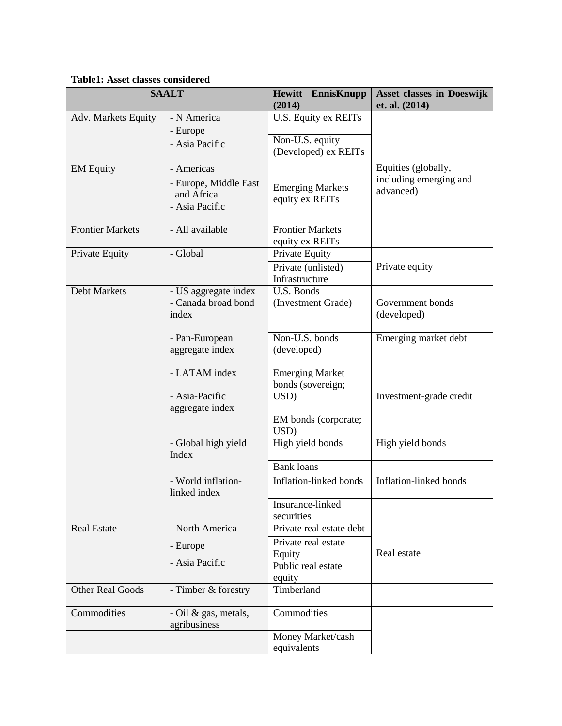#### **Table1: Asset classes considered**

| <b>SAALT</b>            |                                             | <b>Hewitt</b> EnnisKnupp<br>(2014) | <b>Asset classes in Doeswijk</b><br>et. al. (2014) |
|-------------------------|---------------------------------------------|------------------------------------|----------------------------------------------------|
| Adv. Markets Equity     | - N America                                 | U.S. Equity ex REITs               |                                                    |
|                         | - Europe                                    |                                    |                                                    |
|                         | - Asia Pacific                              | Non-U.S. equity                    |                                                    |
|                         |                                             | (Developed) ex REITs               |                                                    |
| <b>EM Equity</b>        | - Americas                                  |                                    | Equities (globally,                                |
|                         | - Europe, Middle East                       | <b>Emerging Markets</b>            | including emerging and                             |
|                         | and Africa                                  | equity ex REITs                    | advanced)                                          |
|                         | - Asia Pacific                              |                                    |                                                    |
|                         |                                             |                                    |                                                    |
| <b>Frontier Markets</b> | - All available                             | <b>Frontier Markets</b>            |                                                    |
|                         |                                             | equity ex REITs                    |                                                    |
| Private Equity          | - Global                                    | Private Equity                     |                                                    |
|                         |                                             | Private (unlisted)                 | Private equity                                     |
| Debt Markets            |                                             | Infrastructure<br>U.S. Bonds       |                                                    |
|                         | - US aggregate index<br>- Canada broad bond | (Investment Grade)                 | Government bonds                                   |
|                         | index                                       |                                    | (developed)                                        |
|                         |                                             |                                    |                                                    |
|                         | - Pan-European                              | Non-U.S. bonds                     | Emerging market debt                               |
|                         | aggregate index                             | (developed)                        |                                                    |
|                         |                                             |                                    |                                                    |
|                         | - LATAM index                               | <b>Emerging Market</b>             |                                                    |
|                         |                                             | bonds (sovereign;                  |                                                    |
|                         | - Asia-Pacific                              | USD)                               | Investment-grade credit                            |
|                         | aggregate index                             |                                    |                                                    |
|                         |                                             | EM bonds (corporate;<br>USD)       |                                                    |
|                         | - Global high yield                         | High yield bonds                   | High yield bonds                                   |
|                         | Index                                       |                                    |                                                    |
|                         |                                             | <b>Bank loans</b>                  |                                                    |
|                         | - World inflation-<br>linked index          | Inflation-linked bonds             | Inflation-linked bonds                             |
|                         |                                             | Insurance-linked                   |                                                    |
|                         |                                             | securities                         |                                                    |
| <b>Real Estate</b>      | - North America                             | Private real estate debt           |                                                    |
|                         | - Europe                                    | Private real estate                |                                                    |
|                         | - Asia Pacific                              | Equity                             | Real estate                                        |
|                         |                                             | Public real estate                 |                                                    |
|                         |                                             | equity                             |                                                    |
| <b>Other Real Goods</b> | - Timber & forestry                         | Timberland                         |                                                    |
| Commodities             | - Oil & gas, metals,                        | Commodities                        |                                                    |
|                         | agribusiness                                |                                    |                                                    |
|                         |                                             | Money Market/cash                  |                                                    |
|                         |                                             | equivalents                        |                                                    |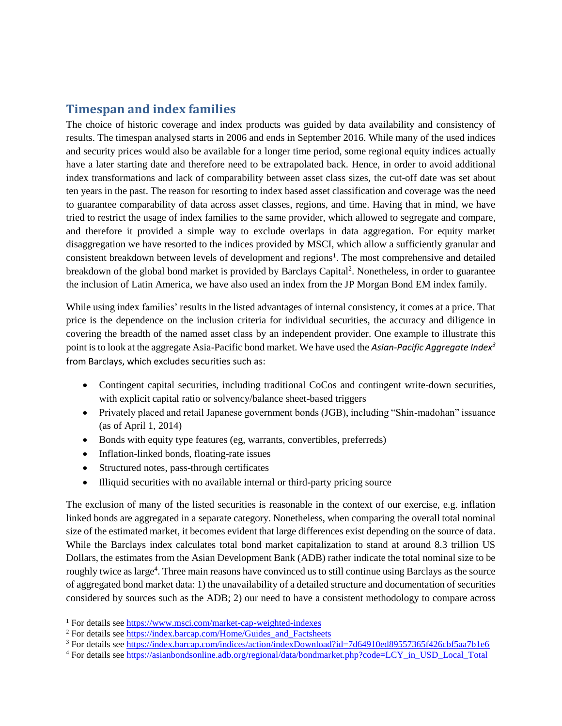## **Timespan and index families**

The choice of historic coverage and index products was guided by data availability and consistency of results. The timespan analysed starts in 2006 and ends in September 2016. While many of the used indices and security prices would also be available for a longer time period, some regional equity indices actually have a later starting date and therefore need to be extrapolated back. Hence, in order to avoid additional index transformations and lack of comparability between asset class sizes, the cut-off date was set about ten years in the past. The reason for resorting to index based asset classification and coverage was the need to guarantee comparability of data across asset classes, regions, and time. Having that in mind, we have tried to restrict the usage of index families to the same provider, which allowed to segregate and compare, and therefore it provided a simple way to exclude overlaps in data aggregation. For equity market disaggregation we have resorted to the indices provided by MSCI, which allow a sufficiently granular and consistent breakdown between levels of development and regions<sup>1</sup>. The most comprehensive and detailed breakdown of the global bond market is provided by Barclays Capital<sup>2</sup>. Nonetheless, in order to guarantee the inclusion of Latin America, we have also used an index from the JP Morgan Bond EM index family.

While using index families' results in the listed advantages of internal consistency, it comes at a price. That price is the dependence on the inclusion criteria for individual securities, the accuracy and diligence in covering the breadth of the named asset class by an independent provider. One example to illustrate this point is to look at the aggregate Asia-Pacific bond market. We have used the *Asian-Pacific Aggregate Index<sup>3</sup>* from Barclays, which excludes securities such as:

- Contingent capital securities, including traditional CoCos and contingent write-down securities, with explicit capital ratio or solvency/balance sheet-based triggers
- Privately placed and retail Japanese government bonds (JGB), including "Shin-madohan" issuance (as of April 1, 2014)
- Bonds with equity type features (eg, warrants, convertibles, preferreds)
- Inflation-linked bonds, floating-rate issues
- Structured notes, pass-through certificates
- Illiquid securities with no available internal or third-party pricing source

The exclusion of many of the listed securities is reasonable in the context of our exercise, e.g. inflation linked bonds are aggregated in a separate category. Nonetheless, when comparing the overall total nominal size of the estimated market, it becomes evident that large differences exist depending on the source of data. While the Barclays index calculates total bond market capitalization to stand at around 8.3 trillion US Dollars, the estimates from the Asian Development Bank (ADB) rather indicate the total nominal size to be roughly twice as large<sup>4</sup>. Three main reasons have convinced us to still continue using Barclays as the source of aggregated bond market data: 1) the unavailability of a detailed structure and documentation of securities considered by sources such as the ADB; 2) our need to have a consistent methodology to compare across

 $\overline{\phantom{a}}$ 

<sup>4</sup> For details see [https://asianbondsonline.adb.org/regional/data/bondmarket.php?code=LCY\\_in\\_USD\\_Local\\_Total](https://asianbondsonline.adb.org/regional/data/bondmarket.php?code=LCY_in_USD_Local_Total)

<sup>&</sup>lt;sup>1</sup> For details see<https://www.msci.com/market-cap-weighted-indexes>

 $2$  For details see [https://index.barcap.com/Home/Guides\\_and\\_Factsheets](https://index.barcap.com/Home/Guides_and_Factsheets)

<sup>3</sup> For details see<https://index.barcap.com/indices/action/indexDownload?id=7d64910ed89557365f426cbf5aa7b1e6>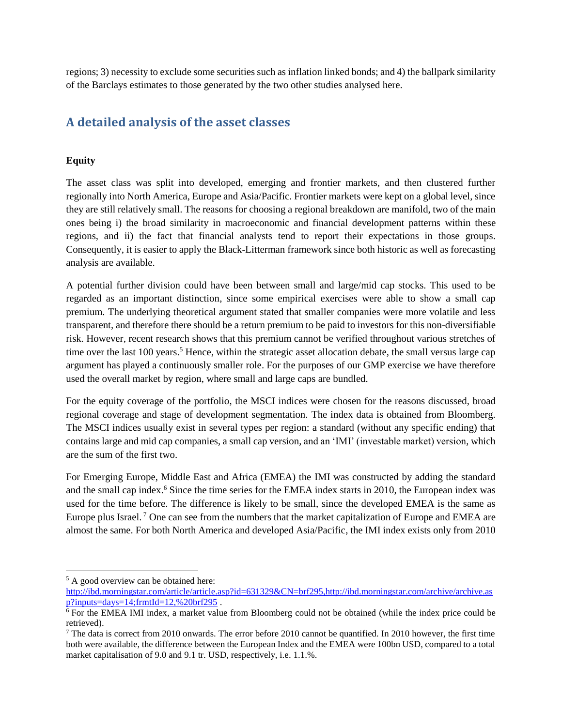regions; 3) necessity to exclude some securities such as inflation linked bonds; and 4) the ballpark similarity of the Barclays estimates to those generated by the two other studies analysed here.

## **A detailed analysis of the asset classes**

#### **Equity**

The asset class was split into developed, emerging and frontier markets, and then clustered further regionally into North America, Europe and Asia/Pacific. Frontier markets were kept on a global level, since they are still relatively small. The reasons for choosing a regional breakdown are manifold, two of the main ones being i) the broad similarity in macroeconomic and financial development patterns within these regions, and ii) the fact that financial analysts tend to report their expectations in those groups. Consequently, it is easier to apply the Black-Litterman framework since both historic as well as forecasting analysis are available.

A potential further division could have been between small and large/mid cap stocks. This used to be regarded as an important distinction, since some empirical exercises were able to show a small cap premium. The underlying theoretical argument stated that smaller companies were more volatile and less transparent, and therefore there should be a return premium to be paid to investors for this non-diversifiable risk. However, recent research shows that this premium cannot be verified throughout various stretches of time over the last 100 years.<sup>5</sup> Hence, within the strategic asset allocation debate, the small versus large cap argument has played a continuously smaller role. For the purposes of our GMP exercise we have therefore used the overall market by region, where small and large caps are bundled.

For the equity coverage of the portfolio, the MSCI indices were chosen for the reasons discussed, broad regional coverage and stage of development segmentation. The index data is obtained from Bloomberg. The MSCI indices usually exist in several types per region: a standard (without any specific ending) that contains large and mid cap companies, a small cap version, and an 'IMI' (investable market) version, which are the sum of the first two.

For Emerging Europe, Middle East and Africa (EMEA) the IMI was constructed by adding the standard and the small cap index.<sup>6</sup> Since the time series for the EMEA index starts in 2010, the European index was used for the time before. The difference is likely to be small, since the developed EMEA is the same as Europe plus Israel.<sup>7</sup> One can see from the numbers that the market capitalization of Europe and EMEA are almost the same. For both North America and developed Asia/Pacific, the IMI index exists only from 2010

 $\overline{a}$ 

<sup>5</sup> A good overview can be obtained here:

[http://ibd.morningstar.com/article/article.asp?id=631329&CN=brf295,http://ibd.morningstar.com/archive/archive.as](http://ibd.morningstar.com/article/article.asp?id=631329&CN=brf295,http://ibd.morningstar.com/archive/archive.asp?inputs=days=14;frmtId=12,%20brf295) [p?inputs=days=14;frmtId=12,%20brf295](http://ibd.morningstar.com/article/article.asp?id=631329&CN=brf295,http://ibd.morningstar.com/archive/archive.asp?inputs=days=14;frmtId=12,%20brf295) .

<sup>6</sup> For the EMEA IMI index, a market value from Bloomberg could not be obtained (while the index price could be retrieved).

 $<sup>7</sup>$  The data is correct from 2010 onwards. The error before 2010 cannot be quantified. In 2010 however, the first time</sup> both were available, the difference between the European Index and the EMEA were 100bn USD, compared to a total market capitalisation of 9.0 and 9.1 tr. USD, respectively, i.e. 1.1.%.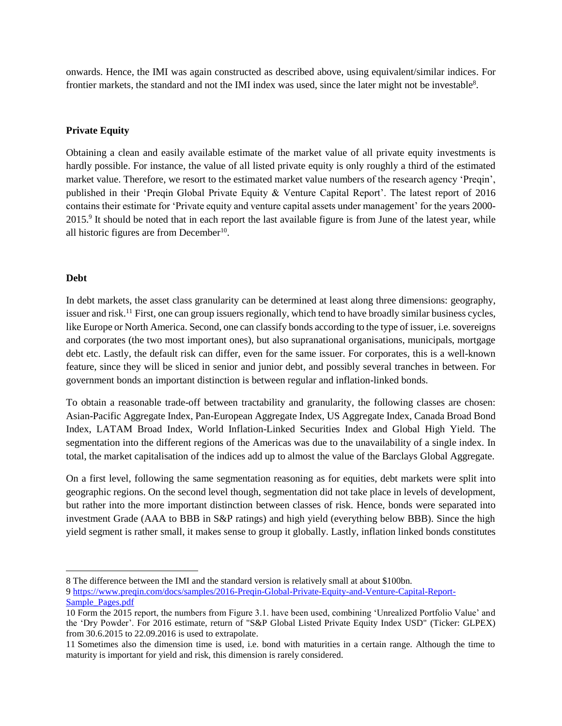onwards. Hence, the IMI was again constructed as described above, using equivalent/similar indices. For frontier markets, the standard and not the IMI index was used, since the later might not be investable<sup>8</sup>.

#### **Private Equity**

Obtaining a clean and easily available estimate of the market value of all private equity investments is hardly possible. For instance, the value of all listed private equity is only roughly a third of the estimated market value. Therefore, we resort to the estimated market value numbers of the research agency 'Preqin', published in their 'Preqin Global Private Equity & Venture Capital Report'. The latest report of 2016 contains their estimate for 'Private equity and venture capital assets under management' for the years 2000- 2015.<sup>9</sup> It should be noted that in each report the last available figure is from June of the latest year, while all historic figures are from December<sup>10</sup>.

#### **Debt**

In debt markets, the asset class granularity can be determined at least along three dimensions: geography, issuer and risk.<sup>11</sup> First, one can group issuers regionally, which tend to have broadly similar business cycles, like Europe or North America. Second, one can classify bonds according to the type of issuer, i.e. sovereigns and corporates (the two most important ones), but also supranational organisations, municipals, mortgage debt etc. Lastly, the default risk can differ, even for the same issuer. For corporates, this is a well-known feature, since they will be sliced in senior and junior debt, and possibly several tranches in between. For government bonds an important distinction is between regular and inflation-linked bonds.

To obtain a reasonable trade-off between tractability and granularity, the following classes are chosen: Asian-Pacific Aggregate Index, Pan-European Aggregate Index, US Aggregate Index, Canada Broad Bond Index, LATAM Broad Index, World Inflation-Linked Securities Index and Global High Yield. The segmentation into the different regions of the Americas was due to the unavailability of a single index. In total, the market capitalisation of the indices add up to almost the value of the Barclays Global Aggregate.

On a first level, following the same segmentation reasoning as for equities, debt markets were split into geographic regions. On the second level though, segmentation did not take place in levels of development, but rather into the more important distinction between classes of risk. Hence, bonds were separated into investment Grade (AAA to BBB in S&P ratings) and high yield (everything below BBB). Since the high yield segment is rather small, it makes sense to group it globally. Lastly, inflation linked bonds constitutes

 $\overline{a}$ 8 The difference between the IMI and the standard version is relatively small at about \$100bn. 9 [https://www.preqin.com/docs/samples/2016-Preqin-Global-Private-Equity-and-Venture-Capital-Report-](https://www.preqin.com/docs/samples/2016-Preqin-Global-Private-Equity-and-Venture-Capital-Report-Sample_Pages.pdf)[Sample\\_Pages.pdf](https://www.preqin.com/docs/samples/2016-Preqin-Global-Private-Equity-and-Venture-Capital-Report-Sample_Pages.pdf)

<sup>10</sup> Form the 2015 report, the numbers from Figure 3.1. have been used, combining 'Unrealized Portfolio Value' and the 'Dry Powder'. For 2016 estimate, return of "S&P Global Listed Private Equity Index USD" (Ticker: GLPEX) from 30.6.2015 to 22.09.2016 is used to extrapolate.

<sup>11</sup> Sometimes also the dimension time is used, i.e. bond with maturities in a certain range. Although the time to maturity is important for yield and risk, this dimension is rarely considered.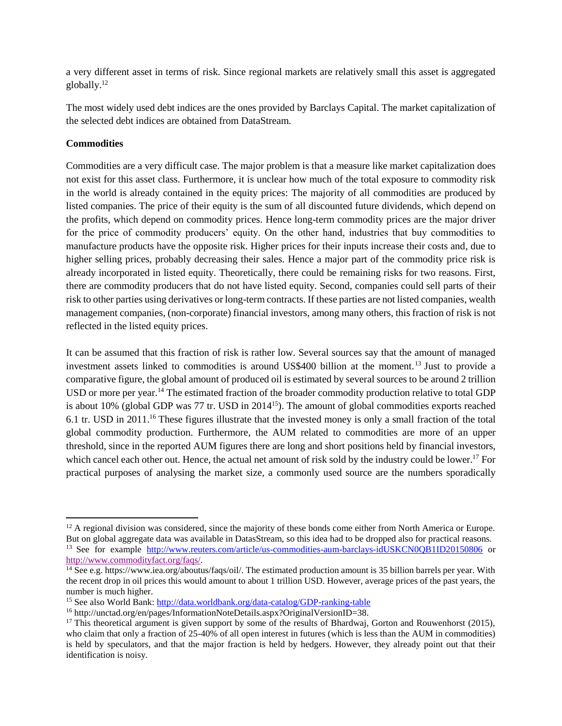a very different asset in terms of risk. Since regional markets are relatively small this asset is aggregated globally.<sup>12</sup>

The most widely used debt indices are the ones provided by Barclays Capital. The market capitalization of the selected debt indices are obtained from DataStream.

#### **Commodities**

 $\overline{\phantom{a}}$ 

Commodities are a very difficult case. The major problem is that a measure like market capitalization does not exist for this asset class. Furthermore, it is unclear how much of the total exposure to commodity risk in the world is already contained in the equity prices: The majority of all commodities are produced by listed companies. The price of their equity is the sum of all discounted future dividends, which depend on the profits, which depend on commodity prices. Hence long-term commodity prices are the major driver for the price of commodity producers' equity. On the other hand, industries that buy commodities to manufacture products have the opposite risk. Higher prices for their inputs increase their costs and, due to higher selling prices, probably decreasing their sales. Hence a major part of the commodity price risk is already incorporated in listed equity. Theoretically, there could be remaining risks for two reasons. First, there are commodity producers that do not have listed equity. Second, companies could sell parts of their risk to other parties using derivatives or long-term contracts. If these parties are not listed companies, wealth management companies, (non-corporate) financial investors, among many others, this fraction of risk is not reflected in the listed equity prices.

It can be assumed that this fraction of risk is rather low. Several sources say that the amount of managed investment assets linked to commodities is around US\$400 billion at the moment.<sup>13</sup> Just to provide a comparative figure, the global amount of produced oil is estimated by several sources to be around 2 trillion USD or more per year.<sup>14</sup> The estimated fraction of the broader commodity production relative to total GDP is about 10% (global GDP was 77 tr. USD in 2014<sup>15</sup>). The amount of global commodities exports reached 6.1 tr. USD in 2011.<sup>16</sup> These figures illustrate that the invested money is only a small fraction of the total global commodity production. Furthermore, the AUM related to commodities are more of an upper threshold, since in the reported AUM figures there are long and short positions held by financial investors, which cancel each other out. Hence, the actual net amount of risk sold by the industry could be lower.<sup>17</sup> For practical purposes of analysing the market size, a commonly used source are the numbers sporadically

 $12$  A regional division was considered, since the majority of these bonds come either from North America or Europe. But on global aggregate data was available in DatasStream, so this idea had to be dropped also for practical reasons. <sup>13</sup> See for example http://www.reuters.com/article/us-commodities-aum-barclays-idUSKCN0OB1ID20150806 or [http://www.commodityfact.org/faqs/.](http://www.commodityfact.org/faqs/)

 $\frac{14}{14}$  See e.g. https://www.iea.org/aboutus/faqs/oil/. The estimated production amount is 35 billion barrels per year. With the recent drop in oil prices this would amount to about 1 trillion USD. However, average prices of the past years, the number is much higher.

<sup>15</sup> See also World Bank: <http://data.worldbank.org/data-catalog/GDP-ranking-table>

<sup>&</sup>lt;sup>16</sup> http://unctad.org/en/pages/InformationNoteDetails.aspx?OriginalVersionID=38.

<sup>&</sup>lt;sup>17</sup> This theoretical argument is given support by some of the results of Bhardwaj, Gorton and Rouwenhorst (2015), who claim that only a fraction of 25-40% of all open interest in futures (which is less than the AUM in commodities) is held by speculators, and that the major fraction is held by hedgers. However, they already point out that their identification is noisy.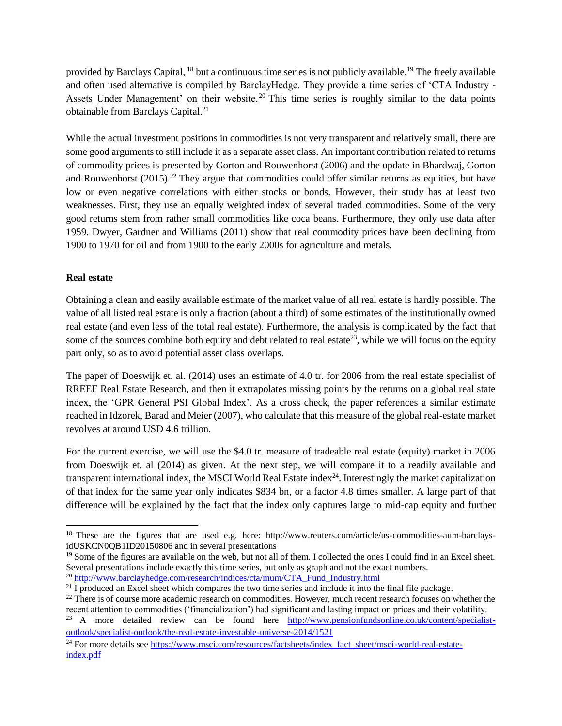provided by Barclays Capital, <sup>18</sup> but a continuous time series is not publicly available.<sup>19</sup> The freely available and often used alternative is compiled by BarclayHedge. They provide a time series of 'CTA Industry - Assets Under Management' on their website.<sup>20</sup> This time series is roughly similar to the data points obtainable from Barclays Capital.<sup>21</sup>

While the actual investment positions in commodities is not very transparent and relatively small, there are some good arguments to still include it as a separate asset class. An important contribution related to returns of commodity prices is presented by Gorton and Rouwenhorst (2006) and the update in Bhardwaj, Gorton and Rouwenhorst  $(2015)$ .<sup>22</sup> They argue that commodities could offer similar returns as equities, but have low or even negative correlations with either stocks or bonds. However, their study has at least two weaknesses. First, they use an equally weighted index of several traded commodities. Some of the very good returns stem from rather small commodities like coca beans. Furthermore, they only use data after 1959. Dwyer, Gardner and Williams (2011) show that real commodity prices have been declining from 1900 to 1970 for oil and from 1900 to the early 2000s for agriculture and metals.

#### **Real estate**

Obtaining a clean and easily available estimate of the market value of all real estate is hardly possible. The value of all listed real estate is only a fraction (about a third) of some estimates of the institutionally owned real estate (and even less of the total real estate). Furthermore, the analysis is complicated by the fact that some of the sources combine both equity and debt related to real estate<sup>23</sup>, while we will focus on the equity part only, so as to avoid potential asset class overlaps.

The paper of Doeswijk et. al. (2014) uses an estimate of 4.0 tr. for 2006 from the real estate specialist of RREEF Real Estate Research, and then it extrapolates missing points by the returns on a global real state index, the 'GPR General PSI Global Index'. As a cross check, the paper references a similar estimate reached in Idzorek, Barad and Meier (2007), who calculate that this measure of the global real-estate market revolves at around USD 4.6 trillion.

For the current exercise, we will use the \$4.0 tr. measure of tradeable real estate (equity) market in 2006 from Doeswijk et. al (2014) as given. At the next step, we will compare it to a readily available and transparent international index, the MSCI World Real Estate index $24$ . Interestingly the market capitalization of that index for the same year only indicates \$834 bn, or a factor 4.8 times smaller. A large part of that difference will be explained by the fact that the index only captures large to mid-cap equity and further

<sup>23</sup> A more detailed review can be found here [http://www.pensionfundsonline.co.uk/content/specialist](http://www.pensionfundsonline.co.uk/content/specialist-outlook/specialist-outlook/the-real-estate-investable-universe-2014/1521)[outlook/specialist-outlook/the-real-estate-investable-universe-2014/1521](http://www.pensionfundsonline.co.uk/content/specialist-outlook/specialist-outlook/the-real-estate-investable-universe-2014/1521)

 $\overline{\phantom{a}}$ <sup>18</sup> These are the figures that are used e.g. here: http://www.reuters.com/article/us-commodities-aum-barclaysidUSKCN0QB1ID20150806 and in several presentations

<sup>&</sup>lt;sup>19</sup> Some of the figures are available on the web, but not all of them. I collected the ones I could find in an Excel sheet. Several presentations include exactly this time series, but only as graph and not the exact numbers.

<sup>&</sup>lt;sup>20</sup> [http://www.barclayhedge.com/research/indices/cta/mum/CTA\\_Fund\\_Industry.html](http://www.barclayhedge.com/research/indices/cta/mum/CTA_Fund_Industry.html)

 $2<sup>1</sup>$  I produced an Excel sheet which compares the two time series and include it into the final file package.

 $22$  There is of course more academic research on commodities. However, much recent research focuses on whether the recent attention to commodities ('financialization') had significant and lasting impact on prices and their volatility.

<sup>&</sup>lt;sup>24</sup> For more details see [https://www.msci.com/resources/factsheets/index\\_fact\\_sheet/msci-world-real-estate](https://www.msci.com/resources/factsheets/index_fact_sheet/msci-world-real-estate-index.pdf)[index.pdf](https://www.msci.com/resources/factsheets/index_fact_sheet/msci-world-real-estate-index.pdf)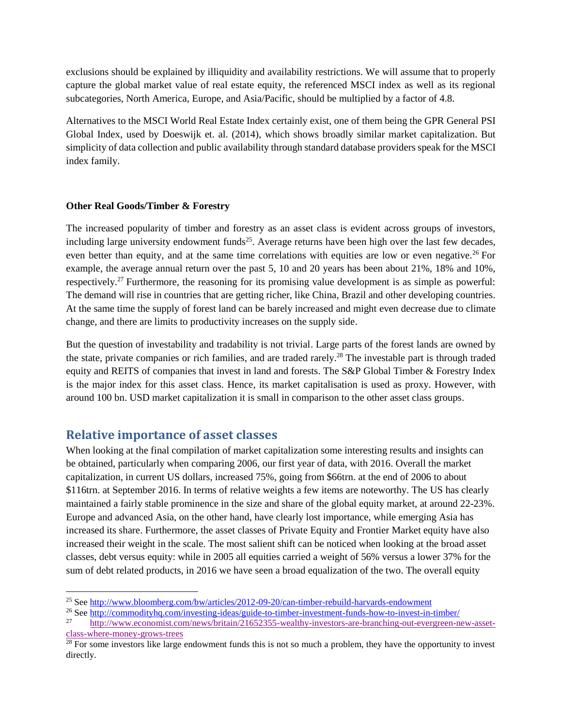exclusions should be explained by illiquidity and availability restrictions. We will assume that to properly capture the global market value of real estate equity, the referenced MSCI index as well as its regional subcategories, North America, Europe, and Asia/Pacific, should be multiplied by a factor of 4.8.

Alternatives to the MSCI World Real Estate Index certainly exist, one of them being the GPR General PSI Global Index, used by Doeswijk et. al. (2014), which shows broadly similar market capitalization. But simplicity of data collection and public availability through standard database providers speak for the MSCI index family.

#### **Other Real Goods/Timber & Forestry**

The increased popularity of timber and forestry as an asset class is evident across groups of investors, including large university endowment funds<sup>25</sup>. Average returns have been high over the last few decades, even better than equity, and at the same time correlations with equities are low or even negative.<sup>26</sup> For example, the average annual return over the past 5, 10 and 20 years has been about 21%, 18% and 10%, respectively.<sup>27</sup> Furthermore, the reasoning for its promising value development is as simple as powerful: The demand will rise in countries that are getting richer, like China, Brazil and other developing countries. At the same time the supply of forest land can be barely increased and might even decrease due to climate change, and there are limits to productivity increases on the supply side.

But the question of investability and tradability is not trivial. Large parts of the forest lands are owned by the state, private companies or rich families, and are traded rarely.<sup>28</sup> The investable part is through traded equity and REITS of companies that invest in land and forests. The S&P Global Timber & Forestry Index is the major index for this asset class. Hence, its market capitalisation is used as proxy. However, with around 100 bn. USD market capitalization it is small in comparison to the other asset class groups.

## **Relative importance of asset classes**

When looking at the final compilation of market capitalization some interesting results and insights can be obtained, particularly when comparing 2006, our first year of data, with 2016. Overall the market capitalization, in current US dollars, increased 75%, going from \$66trn. at the end of 2006 to about \$116trn. at September 2016. In terms of relative weights a few items are noteworthy. The US has clearly maintained a fairly stable prominence in the size and share of the global equity market, at around 22-23%. Europe and advanced Asia, on the other hand, have clearly lost importance, while emerging Asia has increased its share. Furthermore, the asset classes of Private Equity and Frontier Market equity have also increased their weight in the scale. The most salient shift can be noticed when looking at the broad asset classes, debt versus equity: while in 2005 all equities carried a weight of 56% versus a lower 37% for the sum of debt related products, in 2016 we have seen a broad equalization of the two. The overall equity

l <sup>25</sup> See <http://www.bloomberg.com/bw/articles/2012-09-20/can-timber-rebuild-harvards-endowment>

<sup>&</sup>lt;sup>26</sup> See <u>http://commodityhq.com/investing-ideas/guide-to-timber-investment-funds-how-to-invest-in-timber/</u><br> $\frac{27}{47}$ 

<sup>27</sup> [http://www.economist.com/news/britain/21652355-wealthy-investors-are-branching-out-evergreen-new-asset](http://www.economist.com/news/britain/21652355-wealthy-investors-are-branching-out-evergreen-new-asset-class-where-money-grows-trees)[class-where-money-grows-trees](http://www.economist.com/news/britain/21652355-wealthy-investors-are-branching-out-evergreen-new-asset-class-where-money-grows-trees)

 $2<sup>28</sup>$  For some investors like large endowment funds this is not so much a problem, they have the opportunity to invest directly.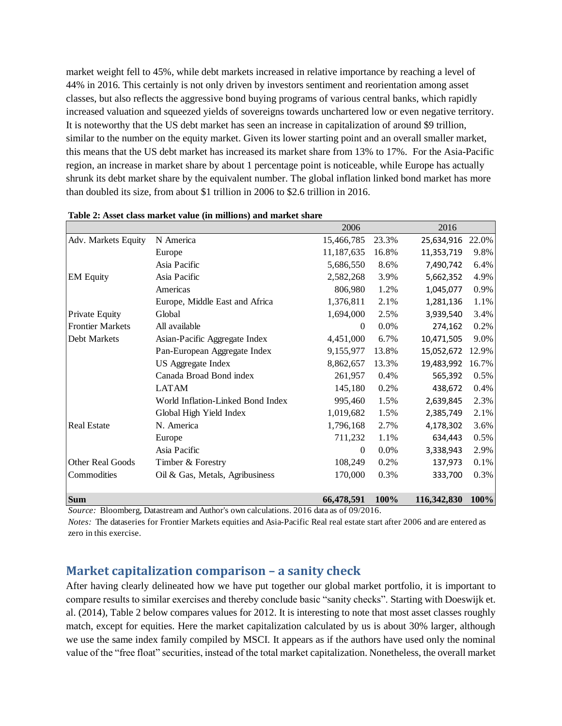market weight fell to 45%, while debt markets increased in relative importance by reaching a level of 44% in 2016. This certainly is not only driven by investors sentiment and reorientation among asset classes, but also reflects the aggressive bond buying programs of various central banks, which rapidly increased valuation and squeezed yields of sovereigns towards unchartered low or even negative territory. It is noteworthy that the US debt market has seen an increase in capitalization of around \$9 trillion, similar to the number on the equity market. Given its lower starting point and an overall smaller market, this means that the US debt market has increased its market share from 13% to 17%. For the Asia-Pacific region, an increase in market share by about 1 percentage point is noticeable, while Europe has actually shrunk its debt market share by the equivalent number. The global inflation linked bond market has more than doubled its size, from about \$1 trillion in 2006 to \$2.6 trillion in 2016.

|                         |                                   | 2006       |       | 2016        |       |
|-------------------------|-----------------------------------|------------|-------|-------------|-------|
| Adv. Markets Equity     | N America                         | 15,466,785 | 23.3% | 25,634,916  | 22.0% |
|                         | Europe                            | 11,187,635 | 16.8% | 11,353,719  | 9.8%  |
|                         | Asia Pacific                      | 5,686,550  | 8.6%  | 7,490,742   | 6.4%  |
| <b>EM Equity</b>        | Asia Pacific                      | 2,582,268  | 3.9%  | 5,662,352   | 4.9%  |
|                         | Americas                          | 806,980    | 1.2%  | 1,045,077   | 0.9%  |
|                         | Europe, Middle East and Africa    | 1,376,811  | 2.1%  | 1,281,136   | 1.1%  |
| <b>Private Equity</b>   | Global                            | 1,694,000  | 2.5%  | 3,939,540   | 3.4%  |
| <b>Frontier Markets</b> | All available                     | $\theta$   | 0.0%  | 274,162     | 0.2%  |
| Debt Markets            | Asian-Pacific Aggregate Index     | 4,451,000  | 6.7%  | 10,471,505  | 9.0%  |
|                         | Pan-European Aggregate Index      | 9,155,977  | 13.8% | 15,052,672  | 12.9% |
|                         | US Aggregate Index                | 8,862,657  | 13.3% | 19,483,992  | 16.7% |
|                         | Canada Broad Bond index           | 261,957    | 0.4%  | 565,392     | 0.5%  |
|                         | <b>LATAM</b>                      | 145,180    | 0.2%  | 438,672     | 0.4%  |
|                         | World Inflation-Linked Bond Index | 995,460    | 1.5%  | 2,639,845   | 2.3%  |
|                         | Global High Yield Index           | 1,019,682  | 1.5%  | 2,385,749   | 2.1%  |
| <b>Real Estate</b>      | N. America                        | 1,796,168  | 2.7%  | 4,178,302   | 3.6%  |
|                         | Europe                            | 711,232    | 1.1%  | 634,443     | 0.5%  |
|                         | Asia Pacific                      | $\theta$   | 0.0%  | 3,338,943   | 2.9%  |
| Other Real Goods        | Timber & Forestry                 | 108,249    | 0.2%  | 137,973     | 0.1%  |
| Commodities             | Oil & Gas, Metals, Agribusiness   | 170,000    | 0.3%  | 333,700     | 0.3%  |
| <b>Sum</b>              |                                   | 66,478,591 | 100%  | 116,342,830 | 100%  |

#### **Table 2: Asset class market value (in millions) and market share**

*Source:* Bloomberg, Datastream and Author's own calculations. 2016 data as of 09/2016.

*Notes:* The dataseries for Frontier Markets equities and Asia-Pacific Real real estate start after 2006 and are entered as zero in this exercise.

### **Market capitalization comparison – a sanity check**

After having clearly delineated how we have put together our global market portfolio, it is important to compare results to similar exercises and thereby conclude basic "sanity checks". Starting with Doeswijk et. al. (2014), Table 2 below compares values for 2012. It is interesting to note that most asset classes roughly match, except for equities. Here the market capitalization calculated by us is about 30% larger, although we use the same index family compiled by MSCI. It appears as if the authors have used only the nominal value of the "free float" securities, instead of the total market capitalization. Nonetheless, the overall market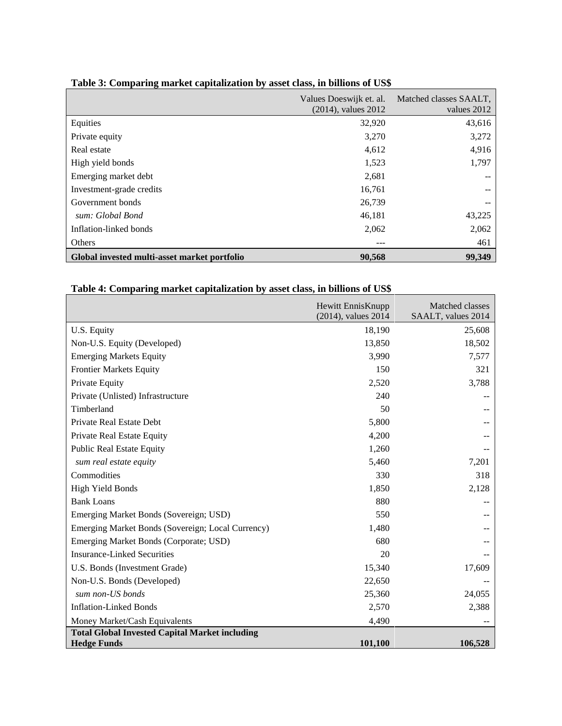|                                              | Values Doeswijk et. al.<br>$(2014)$ , values $2012$ | Matched classes SAALT,<br>values 2012 |
|----------------------------------------------|-----------------------------------------------------|---------------------------------------|
| Equities                                     | 32,920                                              | 43,616                                |
| Private equity                               | 3,270                                               | 3,272                                 |
| Real estate                                  | 4,612                                               | 4,916                                 |
| High yield bonds                             | 1,523                                               | 1,797                                 |
| Emerging market debt                         | 2,681                                               | --                                    |
| Investment-grade credits                     | 16,761                                              | --                                    |
| Government bonds                             | 26,739                                              | $- -$                                 |
| sum: Global Bond                             | 46,181                                              | 43,225                                |
| Inflation-linked bonds                       | 2,062                                               | 2,062                                 |
| <b>Others</b>                                | ---                                                 | 461                                   |
| Global invested multi-asset market portfolio | 90,568                                              | 99,349                                |

### **Table 3: Comparing market capitalization by asset class, in billions of US\$**

## **Table 4: Comparing market capitalization by asset class, in billions of US\$**

|                                                       | Hewitt EnnisKnupp<br>$(2014)$ , values $2014$ | Matched classes<br>SAALT, values 2014 |  |  |
|-------------------------------------------------------|-----------------------------------------------|---------------------------------------|--|--|
| U.S. Equity                                           | 18,190                                        | 25,608                                |  |  |
| Non-U.S. Equity (Developed)                           | 13,850                                        | 18,502                                |  |  |
| <b>Emerging Markets Equity</b>                        | 3,990                                         | 7,577                                 |  |  |
| <b>Frontier Markets Equity</b>                        | 150                                           | 321                                   |  |  |
| Private Equity                                        | 2,520                                         | 3,788                                 |  |  |
| Private (Unlisted) Infrastructure                     | 240                                           |                                       |  |  |
| Timberland                                            | 50                                            |                                       |  |  |
| Private Real Estate Debt                              | 5,800                                         |                                       |  |  |
| Private Real Estate Equity                            | 4,200                                         |                                       |  |  |
| <b>Public Real Estate Equity</b>                      | 1,260                                         |                                       |  |  |
| sum real estate equity                                | 5,460                                         | 7,201                                 |  |  |
| Commodities                                           | 330                                           | 318                                   |  |  |
| <b>High Yield Bonds</b>                               | 1,850                                         | 2,128                                 |  |  |
| <b>Bank Loans</b>                                     | 880                                           |                                       |  |  |
| Emerging Market Bonds (Sovereign; USD)                | 550                                           |                                       |  |  |
| Emerging Market Bonds (Sovereign; Local Currency)     | 1,480                                         |                                       |  |  |
| Emerging Market Bonds (Corporate; USD)                | 680                                           |                                       |  |  |
| <b>Insurance-Linked Securities</b>                    | 20                                            |                                       |  |  |
| U.S. Bonds (Investment Grade)                         | 15,340                                        | 17,609                                |  |  |
| Non-U.S. Bonds (Developed)                            | 22,650                                        |                                       |  |  |
| sum non-US bonds                                      | 25,360                                        | 24,055                                |  |  |
| <b>Inflation-Linked Bonds</b>                         | 2,570                                         | 2,388                                 |  |  |
| Money Market/Cash Equivalents                         | 4,490                                         |                                       |  |  |
| <b>Total Global Invested Capital Market including</b> |                                               |                                       |  |  |
| <b>Hedge Funds</b>                                    | 101,100                                       | 106,528                               |  |  |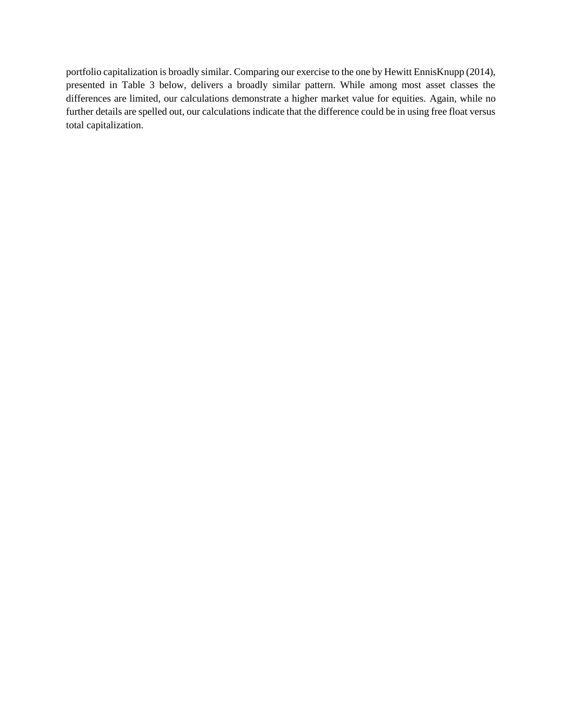portfolio capitalization is broadly similar. Comparing our exercise to the one by Hewitt EnnisKnupp (2014), presented in Table 3 below, delivers a broadly similar pattern. While among most asset classes the differences are limited, our calculations demonstrate a higher market value for equities. Again, while no further details are spelled out, our calculations indicate that the difference could be in using free float versus total capitalization.